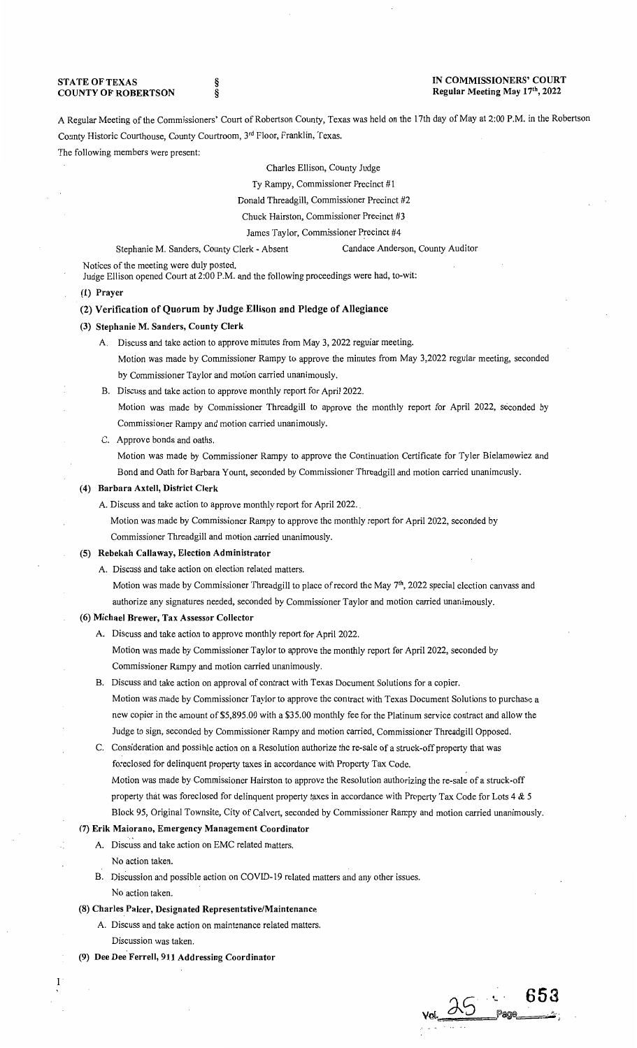STATE OF TEXAS COUNTY OF ROBERTSON

§ §

## IN COMMISSIONERS' COURT Regular Meeting May 17th, 2022

A Regular Meeting of the Commissioners' Court of Robertson County, Texas was held on the 17th day of May at 2:00 P.M. in the Robertson County Historic Courthouse, County Courtroom, 3rd Floor, Franklin, Texas.

The following members were present:

Charles Ellison, County Judge

Ty Rampy, Commissioner Precinct #1

Donald Threadgill, Commissioner Precinct #2

Chuck Hairston, Commissioner Precinct #3

James Taylor, Commissioner Precinct #4

Stephanie M. Sanders, County Clerk - Absent Candace Anderson, County Auditor

Notices of the meeting were duly posted.

Judge Ellison opened Court at 2:00 P.M. and the following proceedings were had, to-wit:

## (1) Prayer

## (2) Verification of Quorum by Judge Ellison and Pledge of Allegiance

#### (3) Stephanie M. Sanders, County Clerk

- A. Discuss and take action to approve minutes from May 3, 2022 regular meeting. Motion was made by Commissioner Rampy to approve the minutes from May 3,2022 regular meeting, seconded by Commissioner Taylor and motion carried unanimously.
- B. Discuss and take action to approve monthly report for April 2022.

Motion was made by Commissioner Threadgill to approve the monthly report for April 2022, seconded by Commissioner Rampy and motion carried unanimously.

C. Approve bonds and oaths.

Motion was made by Commissioner Rampy to approve the Continuation Certificate for Tyler Bielamowiez and Bond and Oath for Barbara Yount, seconded by Commissioner Threadgill and motion carried unanimously.

## (4) Barbara Axtell, District Clerk

A. Discuss and take action to approve monthly report for April 2022.

Motion was made by Commissioner Rampy to approve the monthly report for April 2022, seconded by Commissioner Threadgill and motion carried unanimously.

#### (5) Rebekah Callaway, Election Administrator

A. Discuss and take action on election related matters.

Motion was made by Commissioner Threadgill to place of record the May 7<sup>th</sup>, 2022 special election canvass and authorize any signatures needed, seconded by Commissioner Taylor and motion carried unanimously.

## (6) Michael Brewer, Tax Assessor Collector

A. Discuss and take action to approve monthly report for April 2022. Motion was made by Commissioner Taylor to approve the monthly report for April 2022, seconded by

Commissioner Rampy and motion carried unanimously.

B. Discuss and take action on approval of contract with Texas Document Solutions for a copier. Motion was made by Commissioner Taylor to approve the contract with Texas Document Solutions to purchase a new copier in the amount of \$5,895.00 with a \$35.00 monthly fee for the Platinum service contract and allow the Judge to sign, seconded by Commissioner Rampy and motion carried, Commissioner Threadgill Opposed.

C. Consideration and possible action on a Resolution authorize the re-sale of a struck-off property that was foreclosed for delinquent property taxes in accordance with Property Tax Code. Motion was made by Commissioner Hairston to approve the Resolution authorizing the re-sale of a struck-off property that was foreclosed for delinquent property taxes in accordance with Property Tax Code for Lots 4 & 5 Block 95, Original Townsite, City of Calvert, seconded by Commissioner Rampy and motion carried unanimously.

# (7) Erik Maiorano, Emergency Management Coordinator

- A. Discuss and take action on EMC related matters.
	- No action taken.

 $\mathbf{1}$ 

B. Discussion and possible action on COVID-19 related matters and any other issues. No action taken.

#### (8) Charles Palcer, Designated Representative/Maintenance

- A. Discuss and take action on maintenance related matters. Discussion was taken.
- (9) Dee Dee Ferrell, 911 Addressing Coordinator

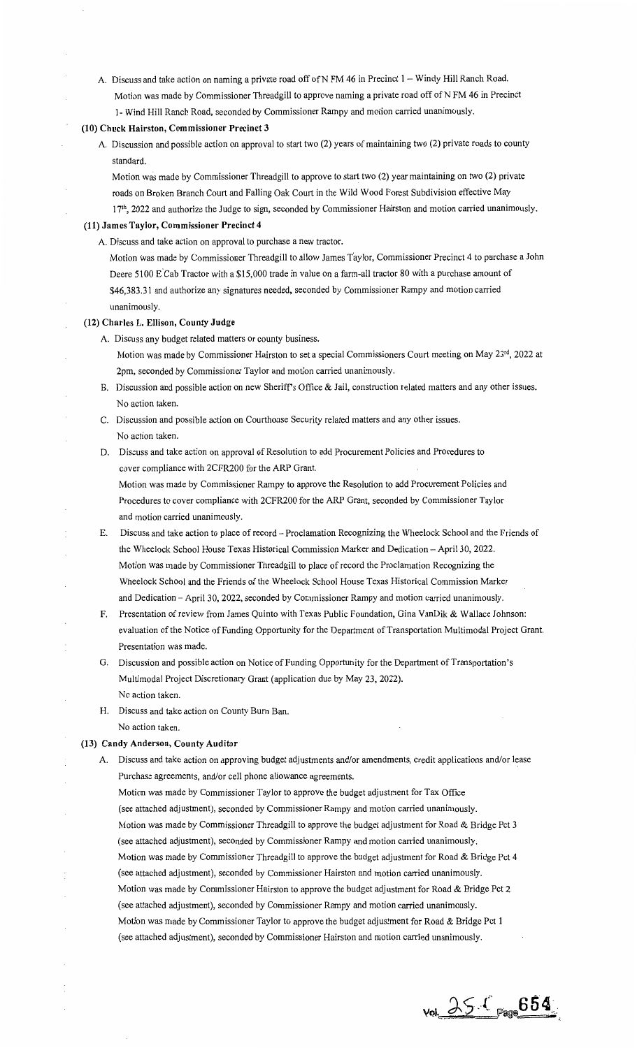A. Discuss and take action on naming a private road off of N FM 46 in Precinct 1 - Windy Hill Ranch Road. Motion was made by Commissioner Threadgill to approve naming a private road off of N FM 46 in Precinct 1- Wind Hill Ranch Road, seconded by Commissioner Rampy and motion carried unanimously.

## **(10) Chuck Hairston, Commissioner Precinct 3**

A. Discussion and possible action on approval to start two (2) years of maintaining two (2) private roads to county standard.

Motion was made by Commissioner Threadgill to approve to start two (2) year maintaining on two (2) private roads on Broken Branch Court and Falling Oak Court in the Wild Wood Forest Subdivision effective May

171 h, 2022 and authorize the Judge to sign, seconded by Commissioner Hairston and motion carried unanimously.

# **(11) James Taylor, Commissioner Precinct 4**

- A. Discuss and take action on approval to purchase a new tractor.
	- Motion was made by Commissioner Threadgill to allow James Taylor, Commissioner Precinct 4 to purchase a John Deere 5100 E Cab Tractor with a \$15,000 trade in value on a farm-all tractor 80 with a purchase amount of \$46,383.31 and authorize any signatures needed, seconded by Commissioner Rampy and motion carried unanimously.

#### **(12) Charles L. Ellison, County Judge**

- A. Discuss any budget related matters or county business.
	- Motion was made by Commissioner Hairston to set a special Commissioners Court meeting on May 23rd, 2022 at 2pm, seconded by Commissioner Taylor and motion carried unanimously.
- B. Discussion and possible action on new Sheriff's Office & Jail, construction related matters and any other issues. No action taken.
- C. Discussion and possible action on Courthouse Security related matters and any other issues. No action taken.
- D. Discuss and take action on approval of Resolution to add Procurement Policies and Procedures to cover compliance with 2CFR200 for the ARP Grant.

Motion was made by Commissioner Rampy to approve the Resolution to add Procurement Policies and Procedures to cover compliance with 2CFR200 for the ARP Grant, seconded by Commissioner Taylor and motion carried unanimously.

- E. Discuss and take action to place of record Proclamation Recognizing the Wheelock School and the Friends of the Wheelock School House Texas Historical Commission Marker and Dedication - April 30, 2022. Motion was made by Commissioner Threadgill to place of record the Proclamation Recognizing the Wheelock School and the Friends of the Wheelock School House Texas Historical Commission Marker and Dedication - April 30, 2022, seconded by Commissioner Rampy and motion carried unanimously.
- F. Presentation of review from James Quinto with Texas Public Foundation, Gina VanDik & Wallace Johnson: evaluation of the Notice of Funding Opportunity for the Department of Transportation Multimodal Project Grant. Presentation was made.
- G. Discussion and possible action on Notice of Funding Opportunity for the Department of Transportation's Multimodal Project Discretionary Grant (application due by May 23, 2022). No action taken.
- H. Discuss and take action on County Bum Ban. No action taken.

## **(13) Candy Anderson, County Auditor**

A. Discuss and take action on approving budget adjustments and/or amendments, credit applications and/or lease Purchase agreements, and/or cell phone allowance agreements.

Motion was made by Commissioner Taylor to approve the budget adjustment for Tax Office (see attached adjustment), seconded by Commissioner Rampy and motion carried unanimously. Motion was made by Commissioner Threadgill to approve the budget adjustment for Road & Bridge Pct 3 (see attached adjustment), seconded by Commissioner Rampy and motion carried unanimously. Motion was made by Commissioner Threadgill to approve the budget adjustment for Road & Bridge Pct 4 (see attached adjustment), seconded by Commissioner Hairston and motion carried unanimously. Motion was made by Commissioner Hairston to approve the budget adjustment for Road & Bridge Pct 2 (see attached adjustment), seconded by Commissioner Rampy and motion carried unanimously. Motion was made by Commissioner Taylor to approve the budget adjustment for Road & Bridge Pct **1**  (see attached adjustment), seconded by Commissioner Hairston and motion carried unanimously.

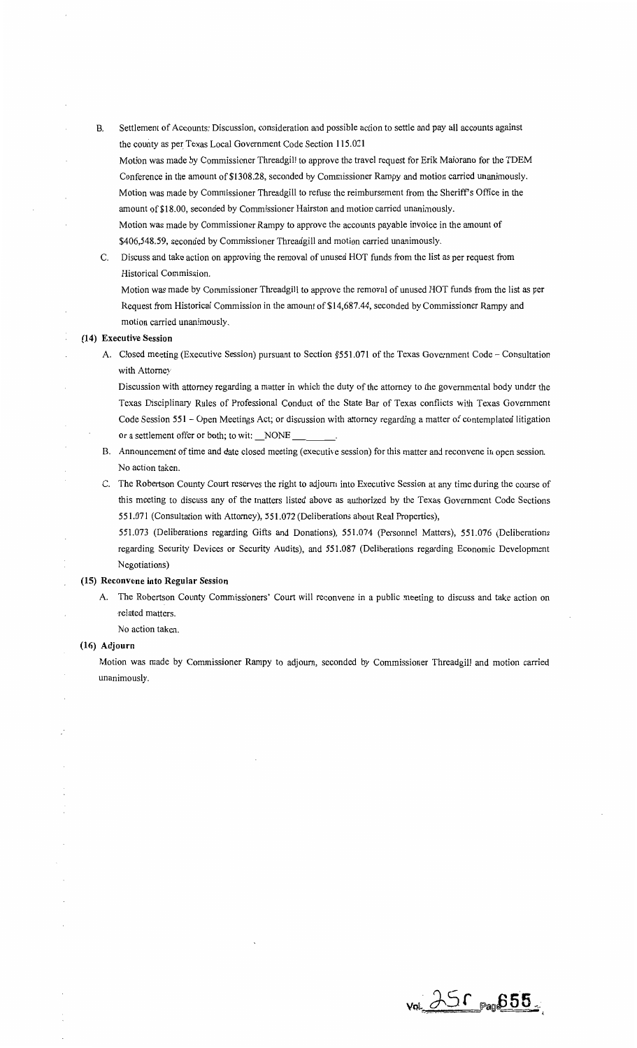B. Settlement of Accounts: Discussion, consideration and possible action to settle and pay all accounts against the county as per Texas Local Government Code Section 115.021

Motion was made by Commissioner Threadgill to approve the travel request for Erik Maiorano for the TDEM Conference in the amount of\$1308.28, seconded by Commissioner Rampy and motion carried unanimously. Motion was made by Commissioner Threadgill to refuse the reimbursement from the Sheriff's Office in the amount of \$18.00, seconded by Commissioner Hairston and motion carried unanimously.

Motion was made by Commissioner Rampy to approve the accounts payable invoice in the amount of \$406,548.59, seconded by Commissioner Threadgill and motion carried unanimously.

C. Discuss and take action on approving the removal of unused HOT funds from the list as per request from Historical Commission.

Motion was made by Commissioner Threadgill to approve the removal of unused HOT funds from the list as per Request from Historical Commission in the amount of \$14,687.44, seconded by Commissioner Rampy and motion carried unanimously.

## (14) Executive Session

A. Closed meeting (Executive Session) pursuant to Section §551.071 of the Texas Government Code - Consultation with Attorney

Discussion with attorney regarding a matter in which the duty of the attorney to the governmental body under the Texas Disciplinary Rules of Professional Conduct of the State Bar of Texas conflicts with Texas Government Code Session 551 - Open Meetings Act; or discussion with attorney regarding a matter of contemplated litigation or a settlement offer or both; to wit: \_NONE \_

- B. Announcement of time and date closed meeting (executive session) for this matter and reconvene in open session. No action taken.
- C. The Robertson County Court reserves the right to adjourn into Executive Session at any time during the course of this meeting to discuss any of the matters listed above as authorized by the Texas Government Code Sections 5 51. 071 (Consultation with Attorney), 5 51. 072 (Deliberations about Real Properties),

551.073 (Deliberations regarding Gifts and Donations), 551.074 (Personnel Matters), 551.076 (Deliberations regarding Security Devices or Security Audits), and 551.087 (Deliberations regarding Economic Development Negotiations)

#### (15) Reconvene into Regular Session

- A. The Robertson County Commissioners' Court will reconvene in a public meeting to discuss and take action on -related matters.
	- No action taken.

#### (16) Adjourn

Motion was made by Commissioner Rampy to adjourn, seconded by Commissioner Threadgill and motion carried unanimously.